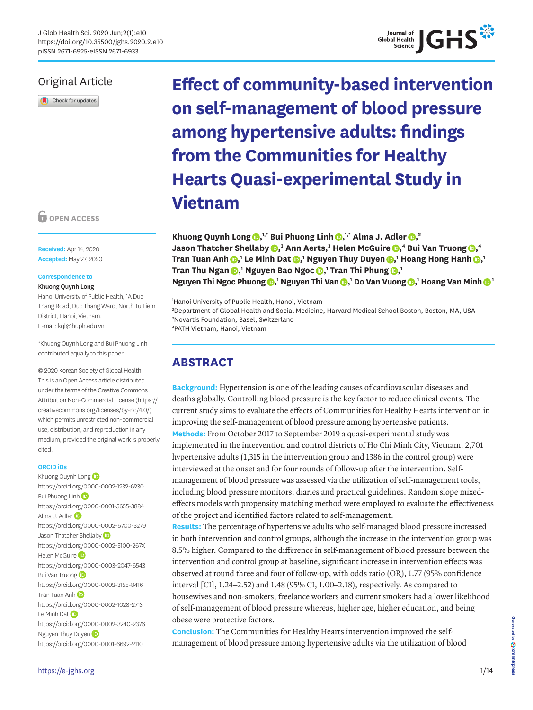## Original Article

Check for updates

**O** OPEN ACCESS

**Received:** Apr 14, 2020 **Accepted:** May 27, 2020

## **Correspondence to**

Khuong Quynh Long

Hanoi University of Public Health, 1A Duc Thang Road, Duc Thang Ward, North Tu Liem District, Hanoi, Vietnam. E-mail: kql@huph.edu.vn

\*Khuong Quynh Long and Bui Phuong Linh contributed equally to this paper.

© 2020 Korean Society of Global Health. This is an Open Access article distributed under the terms of the Creative Commons Attribution Non-Commercial License [\(https://](https://creativecommons.org/licenses/by-nc/4.0/) [creativecommons.org/licenses/by-nc/4.0/](https://creativecommons.org/licenses/by-nc/4.0/)) which permits unrestricted non-commercial use, distribution, and reproduction in any medium, provided the original work is properly cited.

## **ORCID iDs**

Khuon[g](https://orcid.org/0000-0002-1232-6230) Quynh Long <https://orcid.org/0000-0002-1232-6230> Bui Phuong Lin[h](https://orcid.org/0000-0001-5655-3884) (D <https://orcid.org/0000-0001-5655-3884> Alma J. Adler<sup>(D</sup> <https://orcid.org/0000-0002-6700-3279> Jason Thatcher Shellab[y](https://orcid.org/0000-0002-3100-267X) **D** <https://orcid.org/0000-0002-3100-267X> Helen McGuire<sup>(D</sup> <https://orcid.org/0000-0003-2047-6543> Bui Van Truong<sup>D</sup> <https://orcid.org/0000-0002-3155-8416> Tran Tuan Anh<sup>(D</sup> <https://orcid.org/0000-0002-1028-2713> Le Minh Da[t](https://orcid.org/0000-0002-3240-2376) (D <https://orcid.org/0000-0002-3240-2376> Nguye[n](https://orcid.org/0000-0001-6692-2110) Thuy Duyen <https://orcid.org/0000-0001-6692-2110>

**Effect of community-based intervention on self-management of blood pressure among hypertensive adults: findings from the Communities for Healthy Hearts Quasi-experimental Study in** 

**Vietnam**

**Khuong Quynh Long [,](https://orcid.org/0000-0002-1232-6230) 1,\* Bui Phuong Linh [,](https://orcid.org/0000-0001-5655-3884) 1,\* Alma J. Adler [,](https://orcid.org/0000-0002-6700-3279) 2 Jason Thatcher Shellaby**  $\textbf{0,}^3$  $\textbf{0,}^3$  $\textbf{0,}^3$  **Ann Aerts,** $^3$  **Helen McGuire**  $\textbf{0,}^4$  **Bui Van Truong**  $\textbf{0,}^4$  $\mathbf{D}_i$  Tran Tuan Anh  $\mathbf{D}_i$  Le Minh Dat  $\mathbf{D}_i$  Nguyen Thuy Duyen  $\mathbf{D}_i$  Hoang Hong Hanh  $\mathbf{D}_i$  $\mathbf{I}$  Tran Thu Ngan  $\mathbf{D},^1$  $\mathbf{D},^1$  $\mathbf{D},^1$  Nguyen Bao Ngoc  $\mathbf{D},^1$  Tran Thi Phung  $\mathbf{D},^1$ **Nguyen T[h](https://orcid.org/0000-0002-4749-5536)i Ngoc Phuong**  $\bullet$ **[,](https://orcid.org/0000-0003-2140-9772)<sup>1</sup> Nguyen Thi Van**  $\bullet$ **,<sup>1</sup> Do Van Vuong**  $\bullet$ **,<sup>1</sup> Hoang Van Minh**  $\bullet$  **1** 

 Hanoi University of Public Health, Hanoi, Vietnam Department of Global Health and Social Medicine, Harvard Medical School Boston, Boston, MA, USA Novartis Foundation, Basel, Switzerland PATH Vietnam, Hanoi, Vietnam

## **ABSTRACT**

**Background:** Hypertension is one of the leading causes of cardiovascular diseases and deaths globally. Controlling blood pressure is the key factor to reduce clinical events. The current study aims to evaluate the effects of Communities for Healthy Hearts intervention in improving the self-management of blood pressure among hypertensive patients. **Methods:** From October 2017 to September 2019 a quasi-experimental study was implemented in the intervention and control districts of Ho Chi Minh City, Vietnam. 2,701 hypertensive adults (1,315 in the intervention group and 1386 in the control group) were interviewed at the onset and for four rounds of follow-up after the intervention. Selfmanagement of blood pressure was assessed via the utilization of self-management tools, including blood pressure monitors, diaries and practical guidelines. Random slope mixedeffects models with propensity matching method were employed to evaluate the effectiveness of the project and identified factors related to self-management.

**Results:** The percentage of hypertensive adults who self-managed blood pressure increased in both intervention and control groups, although the increase in the intervention group was 8.5% higher. Compared to the difference in self-management of blood pressure between the intervention and control group at baseline, significant increase in intervention effects was observed at round three and four of follow-up, with odds ratio (OR), 1.77 (95% confidence interval [CI], 1.24–2.52) and 1.48 (95% CI, 1.00–2.18), respectively. As compared to housewives and non-smokers, freelance workers and current smokers had a lower likelihood of self-management of blood pressure whereas, higher age, higher education, and being obese were protective factors.

**Conclusion:** The Communities for Healthy Hearts intervention improved the selfmanagement of blood pressure among hypertensive adults via the utilization of blood

1/14